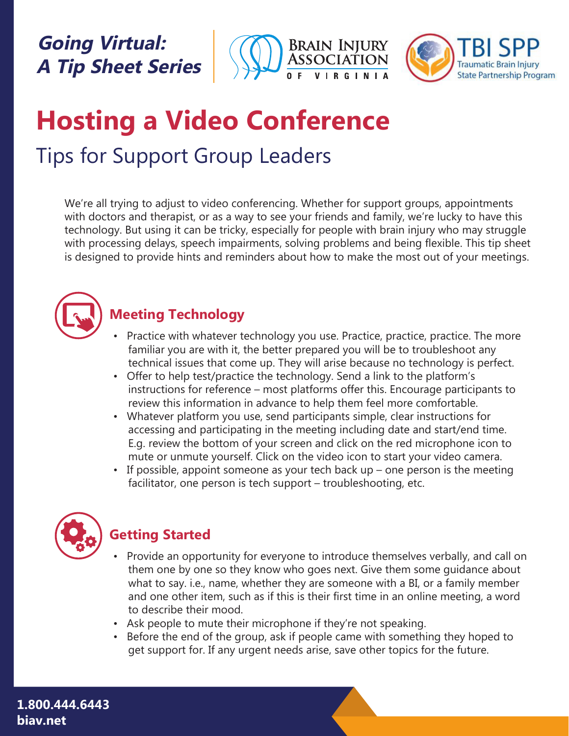## **Going Virtual: A Tip Sheet Series**





# **Hosting a Video Conference**  Tips for Support Group Leaders

We're all trying to adjust to video conferencing. Whether for support groups, appointments with doctors and therapist, or as a way to see your friends and family, we're lucky to have this technology. But using it can be tricky, especially for people with brain injury who may struggle with processing delays, speech impairments, solving problems and being flexible. This tip sheet is designed to provide hints and reminders about how to make the most out of your meetings.



#### **Meeting Technology**

- Practice with whatever technology you use. Practice, practice, practice. The more familiar you are with it, the better prepared you will be to troubleshoot any technical issues that come up. They will arise because no technology is perfect.
- • Offer to help test/practice the technology. Send a link to the platform's instructions for reference – most platforms offer this. Encourage participants to review this information in advance to help them feel more comfortable.
- • Whatever platform you use, send participants simple, clear instructions for accessing and participating in the meeting including date and start/end time. E.g. review the bottom of your screen and click on the red microphone icon to mute or unmute yourself. Click on the video icon to start your video camera.
- If possible, appoint someone as your tech back  $up$  one person is the meeting facilitator, one person is tech support – troubleshooting, etc.



### **Getting Started**

- Provide an opportunity for everyone to introduce themselves verbally, and call on them one by one so they know who goes next. Give them some guidance about what to say. i.e., name, whether they are someone with a BI, or a family member and one other item, such as if this is their first time in an online meeting, a word to describe their mood.
- Ask people to mute their microphone if they're not speaking.
- Before the end of the group, ask if people came with something they hoped to get support for. If any urgent needs arise, save other topics for the future.

**1.800.444.6443 biav.net**